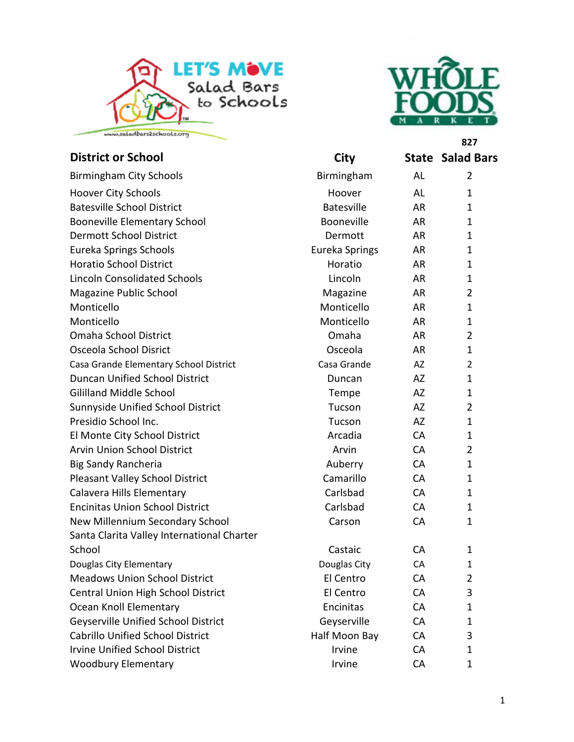



**[827](www.wholefoodsmarket.com)**

| <b>District or School</b>                  | City              |           | <b>State Salad Bars</b> |
|--------------------------------------------|-------------------|-----------|-------------------------|
| <b>Birmingham City Schools</b>             | Birmingham        | AL        | $\overline{2}$          |
| <b>Hoover City Schools</b>                 | Hoover            | <b>AL</b> | $\mathbf{1}$            |
| <b>Batesville School District</b>          | <b>Batesville</b> | AR        | $\mathbf{1}$            |
| <b>Booneville Elementary School</b>        | Booneville        | <b>AR</b> | $\mathbf{1}$            |
| <b>Dermott School District</b>             | Dermott           | AR        | $\mathbf{1}$            |
| <b>Eureka Springs Schools</b>              | Eureka Springs    | <b>AR</b> | $\mathbf{1}$            |
| <b>Horatio School District</b>             | Horatio           | <b>AR</b> | $\mathbf{1}$            |
| <b>Lincoln Consolidated Schools</b>        | Lincoln           | AR        | $\mathbf{1}$            |
| Magazine Public School                     | Magazine          | <b>AR</b> | $\overline{2}$          |
| Monticello                                 | Monticello        | AR        | $\mathbf{1}$            |
| Monticello                                 | Monticello        | <b>AR</b> | $\mathbf{1}$            |
| <b>Omaha School District</b>               | Omaha             | <b>AR</b> | $\overline{2}$          |
| Osceola School Disrict                     | Osceola           | <b>AR</b> | $\mathbf{1}$            |
| Casa Grande Elementary School District     | Casa Grande       | AZ        | $\overline{2}$          |
| <b>Duncan Unified School District</b>      | Duncan            | AZ        | $\mathbf{1}$            |
| <b>Gililland Middle School</b>             | Tempe             | AZ        | $\mathbf{1}$            |
| Sunnyside Unified School District          | Tucson            | AZ        | $\overline{2}$          |
| Presidio School Inc.                       | Tucson            | AZ        | $\mathbf{1}$            |
| El Monte City School District              | Arcadia           | CA        | $\mathbf{1}$            |
| <b>Arvin Union School District</b>         | Arvin             | CA        | $\overline{2}$          |
| Big Sandy Rancheria                        | Auberry           | CA        | $\mathbf{1}$            |
| Pleasant Valley School District            | Camarillo         | CA        | $\mathbf{1}$            |
| Calavera Hills Elementary                  | Carlsbad          | CA        | $\mathbf{1}$            |
| <b>Encinitas Union School District</b>     | Carlsbad          | CA        | $\mathbf{1}$            |
| New Millennium Secondary School            | Carson            | CA        | $\mathbf{1}$            |
| Santa Clarita Valley International Charter |                   |           |                         |
| School                                     | Castaic           | <b>CA</b> | $\mathbf{1}$            |
| Douglas City Elementary                    | Douglas City      | CA        | 1                       |
| <b>Meadows Union School District</b>       | El Centro         | CA        | $\overline{2}$          |
| Central Union High School District         | El Centro         | CA        | 3                       |
| Ocean Knoll Elementary                     | Encinitas         | CA        | $\mathbf{1}$            |
| Geyserville Unified School District        | Geyserville       | CA        | $\mathbf{1}$            |
| <b>Cabrillo Unified School District</b>    | Half Moon Bay     | CA        | 3                       |
| <b>Irvine Unified School District</b>      | Irvine            | CA        | $\mathbf{1}$            |
| <b>Woodbury Elementary</b>                 | Irvine            | CA        | 1                       |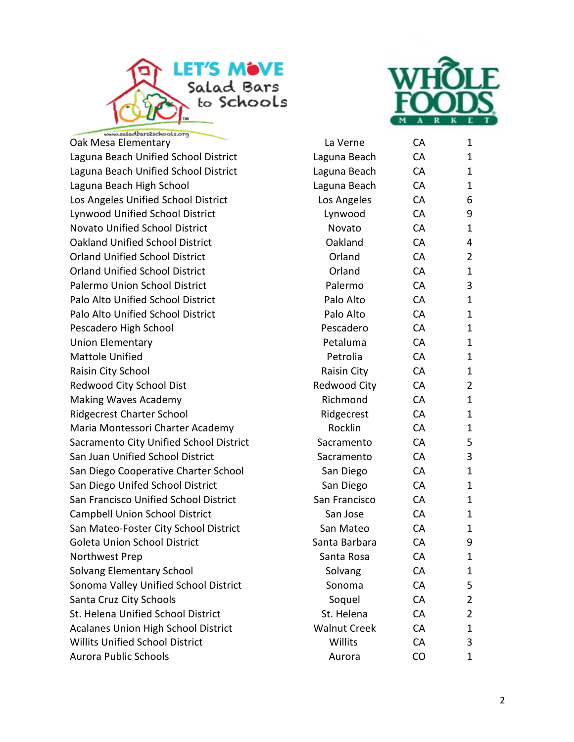



bars2schools.org Oak Mesa Elementary Laguna Beach Unified School District Laguna Beach Unified School District Laguna Beach High School Los Angeles Unified School District Lynwood Unified School District Novato Unified School District Oakland Unified School District Orland Unified School District Orland Unified School District Palermo Union School District Palo Alto Unified School District Palo Alto Unified School District Pescadero High School Union Elementary Mattole Unified Raisin City School Redwood City School Dist Making Waves Academy Ridgecrest Charter School Maria Montessori Charter Academy Sacramento City Unified School District San Juan Unified School District San Diego Cooperative Charter School San Diego Unifed School District San Francisco Unified School District Campbell Union School District San Mateo-Foster City School District Goleta Union School District Northwest Prep Solvang Elementary School Sonoma Valley Unified School District Santa Cruz City Schools St. Helena Unified School District Acalanes Union High School District Willits Unified School District Aurora Public Schools

| La Verne            | СA | 1                       |
|---------------------|----|-------------------------|
| Laguna Beach        | CA | 1                       |
| Laguna Beach        | CA | 1                       |
| Laguna Beach        | CA | 1                       |
| Los Angeles         | CA | 6                       |
| Lynwood             | CA | 9                       |
| Novato              | CA | 1                       |
| Oakland             | CA | 4                       |
| Orland              | CA | 2                       |
| Orland              | CA | $\mathbf{1}$            |
| Palermo             | CA | 3                       |
| Palo Alto           | CA | $\mathbf{1}$            |
| Palo Alto           | CA | 1                       |
| Pescadero           | CA | 1                       |
| Petaluma            | CA | 1                       |
| Petrolia            | CA | 1                       |
| Raisin City         | CA | 1                       |
| <b>Redwood City</b> | CA | 2                       |
| Richmond            | CA | $\mathbf{1}$            |
| Ridgecrest          | CA | 1                       |
| Rocklin             | CA | 1                       |
| Sacramento          | CA | 5                       |
| Sacramento          | CA | 3                       |
| San Diego           | CA | 1                       |
| San Diego           | CA | $\mathbf{1}$            |
| San Francisco       | CA | 1                       |
| San Jose            | CA | 1                       |
| San Mateo           | CA | 1                       |
| Santa Barbara       | CA | 9                       |
| Santa Rosa          | CА | 1                       |
| Solvang             | CA | 1                       |
| Sonoma              | CA | 5                       |
| Soquel              | CA | 2                       |
| St. Helena          | CA | $\overline{\mathbf{c}}$ |
| <b>Walnut Creek</b> | CA | $\mathbf 1$             |
| Willits             | CA | 3                       |
| Aurora              | CO | $\overline{1}$          |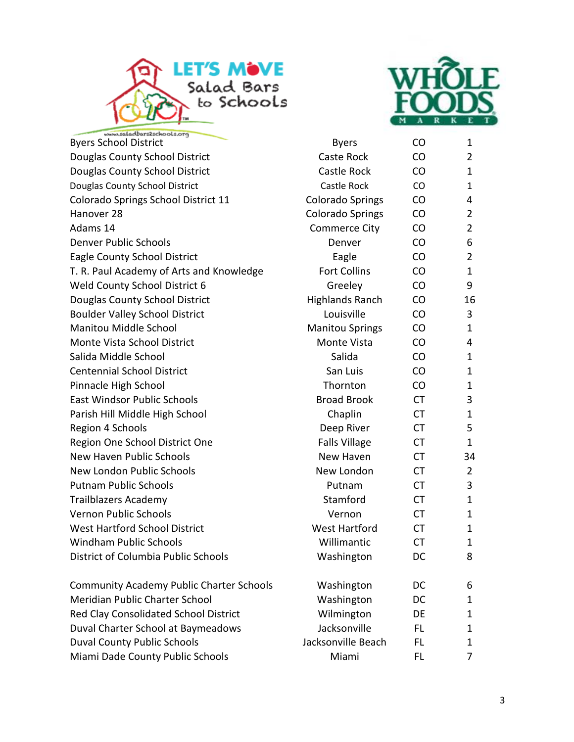



ars2schools.org **Byers School District [CO](www.wholefoodsmarket.com)** 1 Douglas County School District Caste Rock CO 2 Douglas County School District Castle Rock CO 1 Douglas County School District Castle Rock CO 1 Colorado Springs School District 11 Colorado Springs CO 4 Hanover 28 Colorado Springs CO 2 Adams 14 Commerce City CO 2 Denver Public Schools Denver CO 6 Eagle County School District **Eagle** CO 2 T. R. Paul Academy of Arts and Knowledge Fort Collins CO 1 Weld County School District 6 Greeley CO 9 Douglas County School District The Highlands Ranch CO 16 Boulder Valley School District **Louisville** CO 3 Manitou Middle School **Manitou Springs** CO 2 1 Monte Vista School District **Monte Vista** CO 4 Salida Middle School New Salida CO 2014 Centennial School District **San Luis** San Luis CO 1 Pinnacle High School **National Community** Community Thornton CO 1 East Windsor Public Schools **Broad Brook** CT 3 Parish Hill Middle High School Chaplin CT 1 Region 4 Schools **Deep River** CT 5 Region One School District One The School District One Falls Village CT 2 New Haven Public Schools New Haven CT 34 New London Public Schools New London CT 2 Putnam Public Schools **Putnam CT** 3 Trailblazers Academy and the Stamford CT and 1 Vernon Public Schools Vernon CT 1 West Hartford School District The Mest Hartford CT and 1 Windham Public Schools **No. 2018** Willimantic CT 2018 District of Columbia Public Schools Mashington DC 8 Community Academy Public Charter Schools Mashington DC 6 Meridian Public Charter School **Washington** DC 1 Red Clay Consolidated School District **National Clay Consolidated School District** Wilmington DE 1 Duval Charter School at Baymeadows The State School at Baymeadows Jacksonville FL 1 Duval County Public Schools and Muslim Jacksonville Beach FL 1

Miami Dade County Public Schools **Miami** FL 7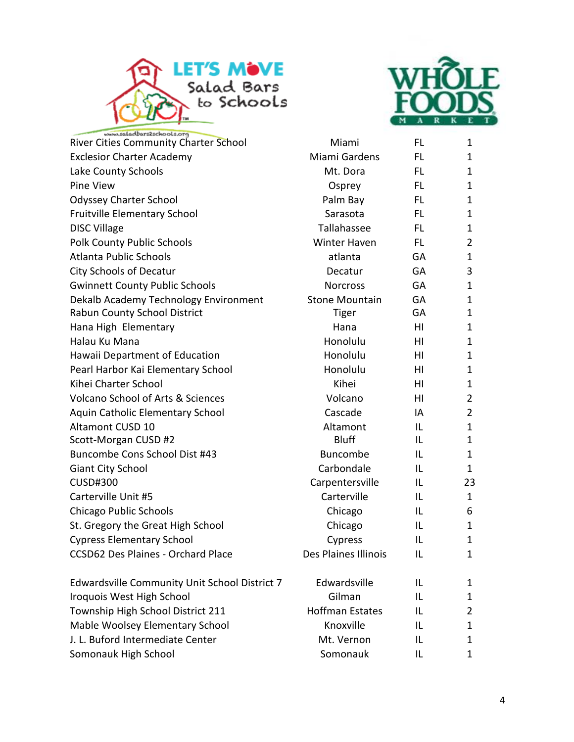



| River Cities Community Charter School         | Miami                  | FL        | $\mathbf 1$    |
|-----------------------------------------------|------------------------|-----------|----------------|
| <b>Exclesior Charter Academy</b>              | Miami Gardens          | FL        | 1              |
| Lake County Schools                           | Mt. Dora               | FL        | 1              |
| Pine View                                     | Osprey                 | FL        | $\mathbf{1}$   |
| <b>Odyssey Charter School</b>                 | Palm Bay               | FL        | 1              |
| Fruitville Elementary School                  | Sarasota               | FL.       | $\mathbf{1}$   |
| <b>DISC Village</b>                           | Tallahassee            | FL        | 1              |
| <b>Polk County Public Schools</b>             | Winter Haven           | FL        | $\overline{2}$ |
| Atlanta Public Schools                        | atlanta                | <b>GA</b> | 1              |
| <b>City Schools of Decatur</b>                | Decatur                | GA        | 3              |
| <b>Gwinnett County Public Schools</b>         | <b>Norcross</b>        | <b>GA</b> | $\mathbf{1}$   |
| Dekalb Academy Technology Environment         | <b>Stone Mountain</b>  | GA        | $\mathbf{1}$   |
| Rabun County School District                  | Tiger                  | GA        | 1              |
| Hana High Elementary                          | Hana                   | HI        | $\mathbf{1}$   |
| Halau Ku Mana                                 | Honolulu               | HI        | $\mathbf{1}$   |
| Hawaii Department of Education                | Honolulu               | ΗI        | $\mathbf{1}$   |
| Pearl Harbor Kai Elementary School            | Honolulu               | HI        | 1              |
| Kihei Charter School                          | Kihei                  | ΗI        | $\mathbf{1}$   |
| <b>Volcano School of Arts &amp; Sciences</b>  | Volcano                | HI        | $\overline{2}$ |
| Aquin Catholic Elementary School              | Cascade                | IA        | $\overline{2}$ |
| Altamont CUSD 10                              | Altamont               | IL        | 1              |
| Scott-Morgan CUSD #2                          | <b>Bluff</b>           | IL        | $\mathbf{1}$   |
| Buncombe Cons School Dist #43                 | <b>Buncombe</b>        | IL        | 1              |
| <b>Giant City School</b>                      | Carbondale             | IL        | 1              |
| <b>CUSD#300</b>                               | Carpentersville        | IL        | 23             |
| Carterville Unit #5                           | Carterville            | IL        | 1              |
| <b>Chicago Public Schools</b>                 | Chicago                | ΙL        | 6              |
| St. Gregory the Great High School             | Chicago                | IL        | 1              |
| <b>Cypress Elementary School</b>              | Cypress                | IL        | 1              |
| <b>CCSD62 Des Plaines - Orchard Place</b>     | Des Plaines Illinois   | IL        | $\mathbf{1}$   |
| Edwardsville Community Unit School District 7 | Edwardsville           | IL        | 1              |
| Iroquois West High School                     | Gilman                 | IL        | 1              |
| Township High School District 211             | <b>Hoffman Estates</b> | IL        | 2              |
| Mable Woolsey Elementary School               | Knoxville              | IL        | 1              |
| J. L. Buford Intermediate Center              | Mt. Vernon             | IL        | 1              |
| Somonauk High School                          | Somonauk               | IL        | 1              |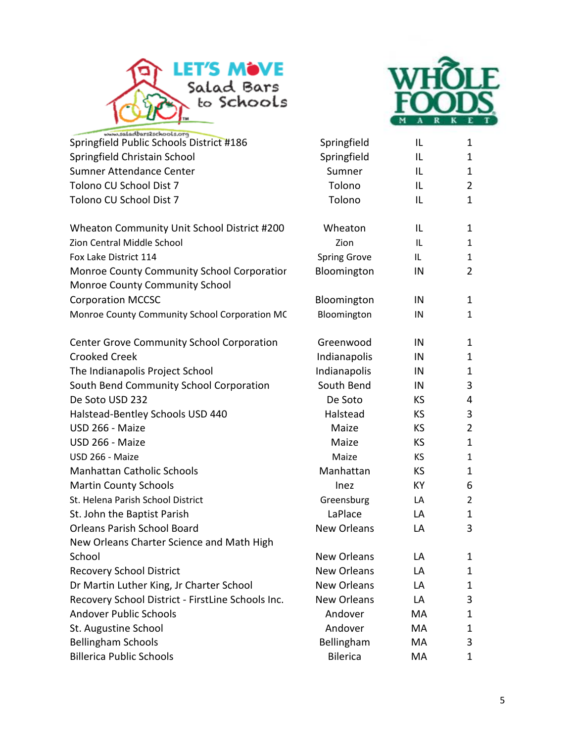



| Springfield Public Schools District #186                                     | Springfield         | IL        | 1              |
|------------------------------------------------------------------------------|---------------------|-----------|----------------|
| Springfield Christain School                                                 | Springfield         | IL        | 1              |
| Sumner Attendance Center                                                     | Sumner              | IL        | 1              |
| Tolono CU School Dist 7                                                      | Tolono              | IL        | $\overline{2}$ |
| Tolono CU School Dist 7                                                      | Tolono              | IL        | 1              |
| Wheaton Community Unit School District #200                                  | Wheaton             | IL        | 1              |
| Zion Central Middle School                                                   | Zion                | IL        | $\mathbf{1}$   |
| Fox Lake District 114                                                        | <b>Spring Grove</b> | IL        | 1              |
| Monroe County Community School Corporatior<br>Monroe County Community School | Bloomington         | IN        | $\overline{2}$ |
| <b>Corporation MCCSC</b>                                                     | Bloomington         | IN        | 1              |
| Monroe County Community School Corporation MC                                | Bloomington         | IN        | $\mathbf{1}$   |
| <b>Center Grove Community School Corporation</b>                             | Greenwood           | IN        | 1              |
| <b>Crooked Creek</b>                                                         | Indianapolis        | IN        | 1              |
| The Indianapolis Project School                                              | Indianapolis        | IN        | 1              |
| South Bend Community School Corporation                                      | South Bend          | IN        | 3              |
| De Soto USD 232                                                              | De Soto             | <b>KS</b> | 4              |
| Halstead-Bentley Schools USD 440                                             | Halstead            | <b>KS</b> | 3              |
| USD 266 - Maize                                                              | Maize               | KS        | $\overline{2}$ |
| USD 266 - Maize                                                              | Maize               | KS        | $\mathbf{1}$   |
| USD 266 - Maize                                                              | Maize               | KS        | $\mathbf{1}$   |
| <b>Manhattan Catholic Schools</b>                                            | Manhattan           | KS        | 1              |
| <b>Martin County Schools</b>                                                 | Inez                | KY        | 6              |
| St. Helena Parish School District                                            | Greensburg          | LA        | $\overline{2}$ |
| St. John the Baptist Parish                                                  | LaPlace             | LA        | 1              |
| <b>Orleans Parish School Board</b>                                           | <b>New Orleans</b>  | LA        | 3              |
| New Orleans Charter Science and Math High                                    |                     |           |                |
| School                                                                       | New Orleans         | LA        | 1              |
| <b>Recovery School District</b>                                              | <b>New Orleans</b>  | LA        | 1              |
| Dr Martin Luther King, Jr Charter School                                     | <b>New Orleans</b>  | LA        | 1              |
| Recovery School District - FirstLine Schools Inc.                            | <b>New Orleans</b>  | LA        | 3              |
| <b>Andover Public Schools</b>                                                | Andover             | MA        | 1              |
| St. Augustine School                                                         | Andover             | MA        | 1              |
| <b>Bellingham Schools</b>                                                    | Bellingham          | МA        | 3              |
| <b>Billerica Public Schools</b>                                              | <b>Bilerica</b>     | МA        | 1              |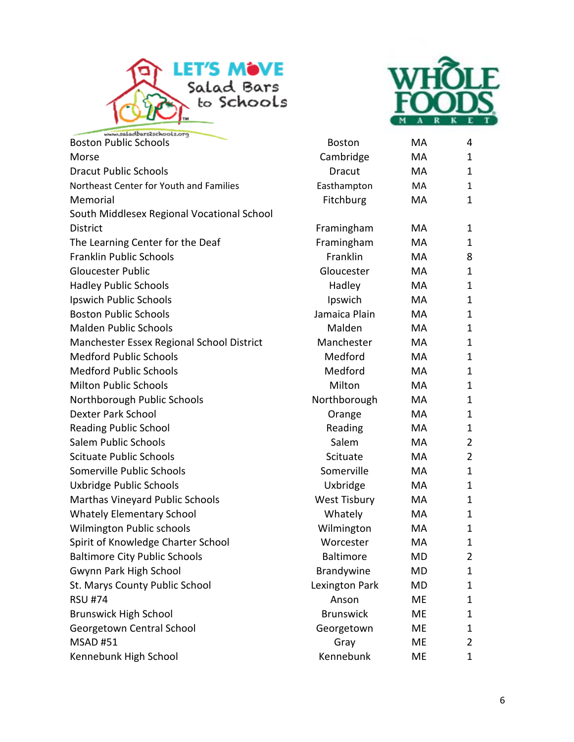



| <b>Boston Public Schools</b>               | <b>Boston</b>       | MA        | 4              |
|--------------------------------------------|---------------------|-----------|----------------|
| Morse                                      | Cambridge           | MA        | 1              |
| <b>Dracut Public Schools</b>               | <b>Dracut</b>       | <b>MA</b> | 1              |
| Northeast Center for Youth and Families    | Easthampton         | MA        | $\mathbf{1}$   |
| Memorial                                   | Fitchburg           | MA        | 1              |
| South Middlesex Regional Vocational School |                     |           |                |
| <b>District</b>                            | Framingham          | MA        | 1              |
| The Learning Center for the Deaf           | Framingham          | MA        | 1              |
| Franklin Public Schools                    | Franklin            | MA        | 8              |
| <b>Gloucester Public</b>                   | Gloucester          | MA        | 1              |
| <b>Hadley Public Schools</b>               | Hadley              | MA        | $\mathbf{1}$   |
| Ipswich Public Schools                     | Ipswich             | MA        | 1              |
| <b>Boston Public Schools</b>               | Jamaica Plain       | <b>MA</b> | $\mathbf{1}$   |
| <b>Malden Public Schools</b>               | Malden              | MA        | 1              |
| Manchester Essex Regional School District  | Manchester          | MA        | 1              |
| <b>Medford Public Schools</b>              | Medford             | MA        | 1              |
| <b>Medford Public Schools</b>              | Medford             | MA        | 1              |
| <b>Milton Public Schools</b>               | Milton              | MA        | 1              |
| Northborough Public Schools                | Northborough        | MA        | 1              |
| <b>Dexter Park School</b>                  | Orange              | MA        | 1              |
| <b>Reading Public School</b>               | Reading             | MA        | 1              |
| Salem Public Schools                       | Salem               | MA        | $\overline{2}$ |
| <b>Scituate Public Schools</b>             | Scituate            | MA        | $\overline{2}$ |
| Somerville Public Schools                  | Somerville          | <b>MA</b> | 1              |
| Uxbridge Public Schools                    | Uxbridge            | MA        | $\mathbf{1}$   |
| Marthas Vineyard Public Schools            | <b>West Tisbury</b> | MA        | $\mathbf{1}$   |
| <b>Whately Elementary School</b>           | Whately             | MA        | 1              |
| Wilmington Public schools                  | Wilmington          | MA        | 1              |
| Spirit of Knowledge Charter School         | Worcester           | MA        | 1              |
| <b>Baltimore City Public Schools</b>       | Baltimore           | MD        | $\overline{2}$ |
| Gwynn Park High School                     | Brandywine          | MD        | 1              |
| St. Marys County Public School             | Lexington Park      | MD        | 1              |
| <b>RSU #74</b>                             | Anson               | ME        | 1              |
| <b>Brunswick High School</b>               | <b>Brunswick</b>    | <b>ME</b> | 1              |
| Georgetown Central School                  | Georgetown          | ME        | 1              |
| <b>MSAD #51</b>                            | Gray                | <b>ME</b> | 2              |
| Kennebunk High School                      | Kennebunk           | ME        | 1              |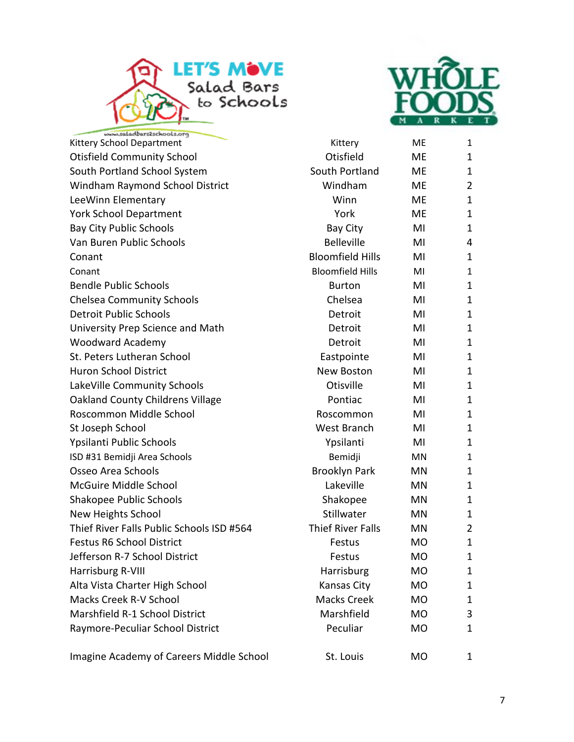



| Kittery School Department                 | Kittery                  | <b>ME</b> | 1              |
|-------------------------------------------|--------------------------|-----------|----------------|
| <b>Otisfield Community School</b>         | Otisfield                | ME        | 1              |
| South Portland School System              | South Portland           | ME        | 1              |
| Windham Raymond School District           | Windham                  | ME        | $\overline{2}$ |
| LeeWinn Elementary                        | Winn                     | ME        | 1              |
| <b>York School Department</b>             | York                     | ME.       | 1              |
| <b>Bay City Public Schools</b>            | Bay City                 | MI        | 1              |
| Van Buren Public Schools                  | <b>Belleville</b>        | MI        | 4              |
| Conant                                    | <b>Bloomfield Hills</b>  | MI        | 1              |
| Conant                                    | <b>Bloomfield Hills</b>  | MI        | 1              |
| <b>Bendle Public Schools</b>              | <b>Burton</b>            | MI        | 1              |
| <b>Chelsea Community Schools</b>          | Chelsea                  | MI        | 1              |
| <b>Detroit Public Schools</b>             | Detroit                  | MI        | 1              |
| University Prep Science and Math          | Detroit                  | MI        | 1              |
| <b>Woodward Academy</b>                   | Detroit                  | MI        | 1              |
| St. Peters Lutheran School                | Eastpointe               | MI        | 1              |
| <b>Huron School District</b>              | New Boston               | MI        | 1              |
| LakeVille Community Schools               | Otisville                | MI        | 1              |
| Oakland County Childrens Village          | Pontiac                  | MI        | 1              |
| Roscommon Middle School                   | Roscommon                | MI        | 1              |
| St Joseph School                          | West Branch              | MI        | 1              |
| Ypsilanti Public Schools                  | Ypsilanti                | MI        | 1              |
| ISD #31 Bemidji Area Schools              | Bemidji                  | MN        | 1              |
| Osseo Area Schools                        | <b>Brooklyn Park</b>     | ΜN        | 1              |
| McGuire Middle School                     | Lakeville                | MN        | 1              |
| Shakopee Public Schools                   | Shakopee                 | MN        | 1              |
| New Heights School                        | Stillwater               | <b>MN</b> | 1              |
| Thief River Falls Public Schools ISD #564 | <b>Thief River Falls</b> | MN        | 2              |
| <b>Festus R6 School District</b>          | Festus                   | <b>MO</b> | $\mathbf{1}$   |
| Jefferson R-7 School District             | Festus                   | MO        | 1              |
| Harrisburg R-VIII                         | Harrisburg               | MO        | 1              |
| Alta Vista Charter High School            | Kansas City              | <b>MO</b> | 1              |
| <b>Macks Creek R-V School</b>             | Macks Creek              | MO        | 1              |
| Marshfield R-1 School District            | Marshfield               | <b>MO</b> | 3              |
| Raymore-Peculiar School District          | Peculiar                 | <b>MO</b> | 1              |
| Imagine Academy of Careers Middle School  | St. Louis                | MO        | 1              |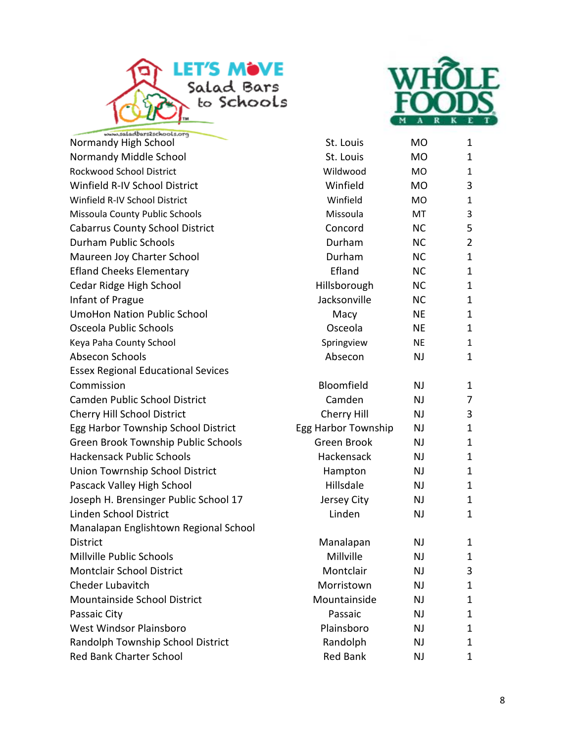



| Normandy High School                      | St. Louis           | MO        | $\mathbf{1}$   |
|-------------------------------------------|---------------------|-----------|----------------|
| Normandy Middle School                    | St. Louis           | <b>MO</b> | 1              |
| Rockwood School District                  | Wildwood            | <b>MO</b> | $\mathbf{1}$   |
| Winfield R-IV School District             | Winfield            | <b>MO</b> | 3              |
| Winfield R-IV School District             | Winfield            | <b>MO</b> | $\mathbf{1}$   |
| Missoula County Public Schools            | Missoula            | MT        | 3              |
| <b>Cabarrus County School District</b>    | Concord             | <b>NC</b> | 5              |
| Durham Public Schools                     | Durham              | <b>NC</b> | $\overline{2}$ |
| Maureen Joy Charter School                | Durham              | <b>NC</b> | $\mathbf{1}$   |
| <b>Efland Cheeks Elementary</b>           | Efland              | <b>NC</b> | 1              |
| Cedar Ridge High School                   | Hillsborough        | <b>NC</b> | $\mathbf{1}$   |
| Infant of Prague                          | Jacksonville        | <b>NC</b> | $\mathbf{1}$   |
| <b>UmoHon Nation Public School</b>        | Macy                | <b>NE</b> | 1              |
| Osceola Public Schools                    | Osceola             | <b>NE</b> | $\mathbf{1}$   |
| Keya Paha County School                   | Springview          | <b>NE</b> | $\mathbf{1}$   |
| Absecon Schools                           | Absecon             | <b>NJ</b> | 1              |
| <b>Essex Regional Educational Sevices</b> |                     |           |                |
| Commission                                | Bloomfield          | <b>NJ</b> | 1              |
| Camden Public School District             | Camden              | <b>NJ</b> | 7              |
| Cherry Hill School District               | Cherry Hill         | NJ        | 3              |
| Egg Harbor Township School District       | Egg Harbor Township | <b>NJ</b> | 1              |
| Green Brook Township Public Schools       | Green Brook         | <b>NJ</b> | $\mathbf{1}$   |
| <b>Hackensack Public Schools</b>          | Hackensack          | <b>NJ</b> | 1              |
| Union Towrnship School District           | Hampton             | NJ        | 1              |
| Pascack Valley High School                | Hillsdale           | <b>NJ</b> | $\mathbf{1}$   |
| Joseph H. Brensinger Public School 17     | Jersey City         | <b>NJ</b> | $\mathbf{1}$   |
| Linden School District                    | Linden              | <b>NJ</b> | $\mathbf{1}$   |
| Manalapan Englishtown Regional School     |                     |           |                |
| <b>District</b>                           | Manalapan           | <b>NJ</b> | 1              |
| Millville Public Schools                  | Millville           | NJ        | 1.             |
| <b>Montclair School District</b>          | Montclair           | NJ        | 3              |
| Cheder Lubavitch                          | Morristown          | <b>NJ</b> | 1              |
| Mountainside School District              | Mountainside        | NJ        | 1              |
| Passaic City                              | Passaic             | <b>NJ</b> | 1              |
| West Windsor Plainsboro                   | Plainsboro          | <b>NJ</b> | 1              |
| Randolph Township School District         | Randolph            | <b>NJ</b> | 1              |
| <b>Red Bank Charter School</b>            | <b>Red Bank</b>     | <b>NJ</b> | 1              |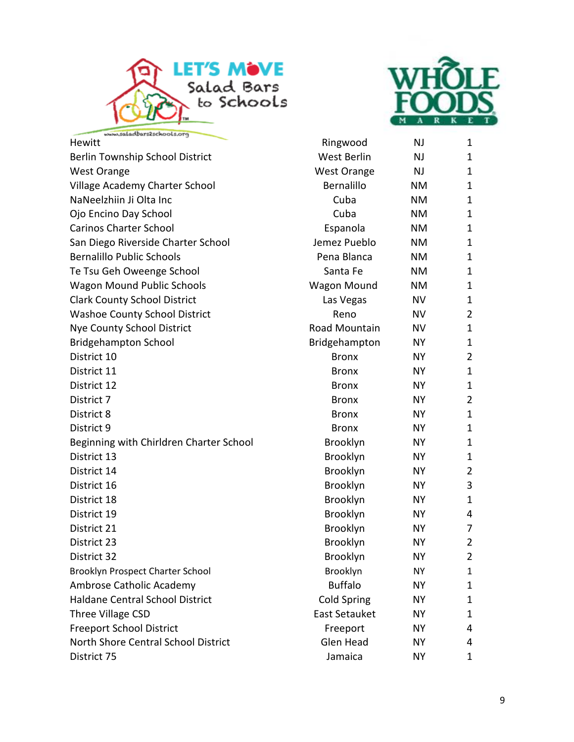



| Hewitt                                  | Ringwood             | NJ.       | 1              |
|-----------------------------------------|----------------------|-----------|----------------|
| Berlin Township School District         | West Berlin          | <b>NJ</b> | 1              |
| <b>West Orange</b>                      | <b>West Orange</b>   | <b>NJ</b> | 1              |
| Village Academy Charter School          | Bernalillo           | <b>NM</b> | 1              |
| NaNeelzhiin Ji Olta Inc                 | Cuba                 | <b>NM</b> | 1              |
| Ojo Encino Day School                   | Cuba                 | <b>NM</b> | 1              |
| <b>Carinos Charter School</b>           | Espanola             | <b>NM</b> | 1              |
| San Diego Riverside Charter School      | Jemez Pueblo         | <b>NM</b> | 1              |
| <b>Bernalillo Public Schools</b>        | Pena Blanca          | <b>NM</b> | 1              |
| Te Tsu Geh Oweenge School               | Santa Fe             | <b>NM</b> | 1              |
| <b>Wagon Mound Public Schools</b>       | <b>Wagon Mound</b>   | <b>NM</b> | 1              |
| <b>Clark County School District</b>     | Las Vegas            | <b>NV</b> | 1              |
| <b>Washoe County School District</b>    | Reno                 | <b>NV</b> | 2              |
| <b>Nye County School District</b>       | Road Mountain        | <b>NV</b> | 1              |
| <b>Bridgehampton School</b>             | Bridgehampton        | <b>NY</b> | 1              |
| District 10                             | <b>Bronx</b>         | <b>NY</b> | $\overline{2}$ |
| District 11                             | <b>Bronx</b>         | NY.       | $\mathbf{1}$   |
| District 12                             | <b>Bronx</b>         | <b>NY</b> | 1              |
| District 7                              | <b>Bronx</b>         | <b>NY</b> | $\overline{2}$ |
| District 8                              | <b>Bronx</b>         | <b>NY</b> | 1              |
| District 9                              | <b>Bronx</b>         | <b>NY</b> | 1              |
| Beginning with Chirldren Charter School | Brooklyn             | <b>NY</b> | 1              |
| District 13                             | Brooklyn             | <b>NY</b> | $\mathbf{1}$   |
| District 14                             | Brooklyn             | <b>NY</b> | $\overline{2}$ |
| District 16                             | Brooklyn             | <b>NY</b> | 3              |
| District 18                             | Brooklyn             | <b>NY</b> | 1              |
| District 19                             | Brooklyn             | <b>NY</b> | 4              |
| District 21                             | Brooklyn             | NY.       | 7              |
| District 23                             | Brooklyn             | <b>NY</b> | $\overline{2}$ |
| District 32                             | Brooklyn             | <b>NY</b> | $\overline{2}$ |
| Brooklyn Prospect Charter School        | Brooklyn             | <b>NY</b> | 1              |
| Ambrose Catholic Academy                | <b>Buffalo</b>       | <b>NY</b> | 1              |
| Haldane Central School District         | <b>Cold Spring</b>   | <b>NY</b> | 1              |
| Three Village CSD                       | <b>East Setauket</b> | <b>NY</b> | 1              |
| <b>Freeport School District</b>         | Freeport             | <b>NY</b> | 4              |
| North Shore Central School District     | Glen Head            | <b>NY</b> | 4              |
| District 75                             | Jamaica              | <b>NY</b> | 1              |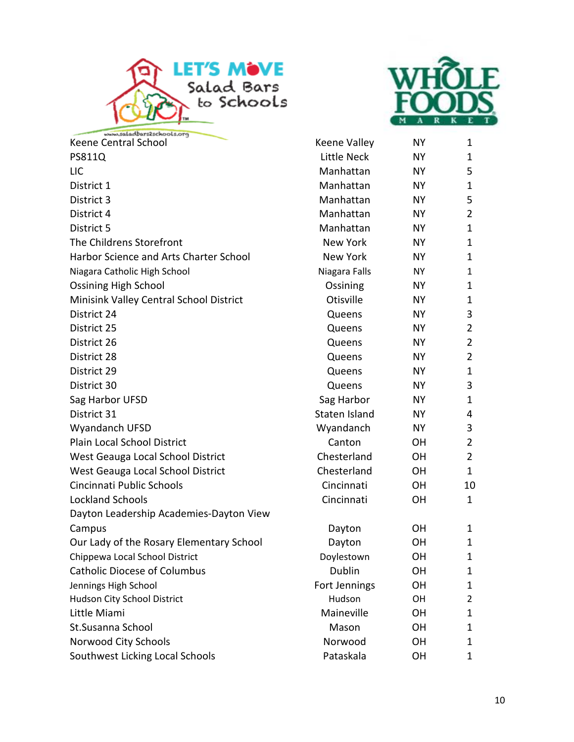



| www.saladbars2schools.org                |                 |           |                |
|------------------------------------------|-----------------|-----------|----------------|
| Keene Central School                     | Keene Valley    | <b>NY</b> | 1              |
| PS811Q                                   | Little Neck     | <b>NY</b> | 1              |
| <b>LIC</b>                               | Manhattan       | <b>NY</b> | 5              |
| District 1                               | Manhattan       | <b>NY</b> | $\mathbf{1}$   |
| District 3                               | Manhattan       | <b>NY</b> | 5              |
| District 4                               | Manhattan       | NY.       | $\overline{2}$ |
| District 5                               | Manhattan       | <b>NY</b> | $\mathbf{1}$   |
| The Childrens Storefront                 | New York        | <b>NY</b> | $\mathbf{1}$   |
| Harbor Science and Arts Charter School   | <b>New York</b> | <b>NY</b> | $\mathbf{1}$   |
| Niagara Catholic High School             | Niagara Falls   | NY.       | 1              |
| <b>Ossining High School</b>              | Ossining        | <b>NY</b> | 1              |
| Minisink Valley Central School District  | Otisville       | NY.       | 1              |
| District 24                              | Queens          | NΥ        | 3              |
| District 25                              | Queens          | <b>NY</b> | $\overline{2}$ |
| District 26                              | Queens          | <b>NY</b> | $\overline{2}$ |
| District 28                              | Queens          | <b>NY</b> | $\overline{2}$ |
| District 29                              | Queens          | <b>NY</b> | $\mathbf{1}$   |
| District 30                              | Queens          | <b>NY</b> | 3              |
| Sag Harbor UFSD                          | Sag Harbor      | NY.       | $\mathbf{1}$   |
| District 31                              | Staten Island   | <b>NY</b> | 4              |
| Wyandanch UFSD                           | Wyandanch       | NY.       | 3              |
| Plain Local School District              | Canton          | OΗ        | $\overline{2}$ |
| West Geauga Local School District        | Chesterland     | <b>OH</b> | $\overline{2}$ |
| West Geauga Local School District        | Chesterland     | <b>OH</b> | $\mathbf{1}$   |
| Cincinnati Public Schools                | Cincinnati      | <b>OH</b> | 10             |
| <b>Lockland Schools</b>                  | Cincinnati      | OH        | $\mathbf{1}$   |
| Dayton Leadership Academies-Dayton View  |                 |           |                |
| Campus                                   | Dayton          | OН        | 1              |
| Our Lady of the Rosary Elementary School | Dayton          | <b>OH</b> | 1              |
| Chippewa Local School District           | Doylestown      | <b>OH</b> | 1              |
| <b>Catholic Diocese of Columbus</b>      | Dublin          | <b>OH</b> | 1              |
| Jennings High School                     | Fort Jennings   | <b>OH</b> | $\mathbf{1}$   |
| Hudson City School District              | Hudson          | OH        | $\overline{2}$ |
| Little Miami                             | Maineville      | <b>OH</b> | 1              |
| St.Susanna School                        | Mason           | <b>OH</b> | 1              |
| Norwood City Schools                     | Norwood         | <b>OH</b> | 1              |
| Southwest Licking Local Schools          | Pataskala       | <b>OH</b> | 1              |

| Keene Valley    | NΥ        | 1                       |
|-----------------|-----------|-------------------------|
| Little Neck     | NΥ        | 1                       |
| Manhattan       | NΥ        | 5                       |
| Manhattan       | <b>NY</b> | 1                       |
| Manhattan       | <b>NY</b> | 5                       |
| Manhattan       | <b>NY</b> | $\overline{c}$          |
| Manhattan       | NΥ        | $\overline{1}$          |
| <b>New York</b> | <b>NY</b> | $\overline{1}$          |
| New York        | NY        | $\overline{1}$          |
| Niagara Falls   | <b>NY</b> | $\mathbf{1}$            |
| Ossining        | <b>NY</b> | $\overline{1}$          |
| Otisville       | <b>NY</b> | $\overline{1}$          |
| Queens          | NΥ        | 3                       |
| Queens          | NY        | $\overline{2}$          |
| Queens          | <b>NY</b> | $\overline{\mathbf{c}}$ |
| Queens          | NY        | $\overline{2}$          |
| Queens          | <b>NY</b> | $\overline{1}$          |
| Queens          | <b>NY</b> | 3                       |
| Sag Harbor      | <b>NY</b> | $\overline{1}$          |
| Staten Island   | NΥ        | 4                       |
| Wyandanch       | NY        | 3                       |
| Canton          | ОH        | $\overline{\mathbf{c}}$ |
| Chesterland     | OH        | $\overline{2}$          |
| Chesterland     | OН        | 1                       |
| Cincinnati      | OH        | 10                      |
| Cincinnati      | ОH        | 1                       |
| Dayton          | ОH        | 1                       |
| Dayton          | OH        | $\overline{1}$          |
| Doylestown      | OΗ        | 1                       |
| Dublin          | OH        | 1                       |
| Fort Jennings   | OH        | $\overline{1}$          |
| Hudson          | OН        | 2                       |
| Maineville      | ОH        | 1                       |
| Mason           | OН        | $\overline{1}$          |
| Norwood         | OH        | 1                       |
| والموالد متفاد  |           |                         |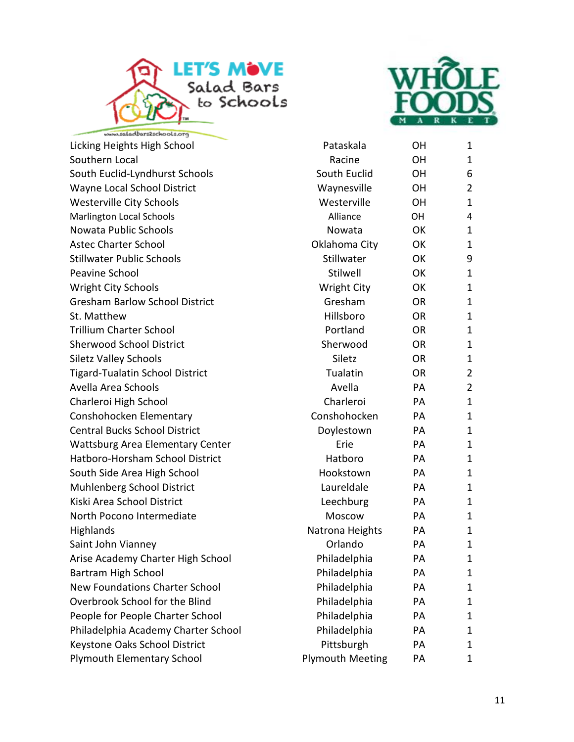



Licking Heights High School Pataskala OH 1 Southern Local and Communication of the Communication of the Communication of the Communication of the Communication of the Communication of the Communication of the Communication of the Communication of the Communication South Euclid-Lyndhurst Schools 6 and 500 South Euclid 6 Apr 6 Apr 6 Apr 6 Apr 6 Apr 6 Apr 6 Apr 6 Apr 7 Apr 7 Apr 7 Apr 7 Apr 7 Apr 7 Apr 7 Apr 7 Apr 7 Apr 7 Apr 7 Apr 7 Apr 7 Apr 7 Apr 7 Apr 7 Apr 7 Apr 7 Apr 7 Apr 7 Apr Wayne Local School District The Controller Waynesville OH 2 Westerville City Schools **Westerville** OH 1 Marlington Local Schools **Alliance CH 4** 4 Nowata Public Schools **Nowata** OK 1 Astec Charter School **Charter School** Charter School **Charter School** Oklahoma City OK 1 Stillwater Public Schools **Stillwater** OK 9 Peavine School and Stilwell Communications of the Stilwell Communications of the Stilwell Communications of the T Wright City Schools **Matter City** OK 1 Gresham Barlow School District The Gresham CR 1 St. Matthew **Example 2018** St. Matthew **CON** 1 Trillium Charter School **National Contract Contract Contract Contract Contract Contract Contract Contract Contract Contract Contract Contract Contract Contract Contract Contract Contract Contract Contract Contract Contract** Sherwood School District The Sherwood CR 1 Siletz Valley Schools and Siletz Controller Controller Siletz Controller Controller Controller Controller Controller Controller Controller Controller Controller Controller Controller Controller Controller Controller Contro Tigard-Tualatin School District Tualatin COR 2 Avella Area Schools Avella PA 2 Charleroi High School **Charleroi** Charleroi PA 1 Conshohocken Elementary **Conshohocken** PA 1 Central Bucks School District The Contract of Doylestown PA 1 Wattsburg Area Elementary Center The Richard Erie PA 1 Hatboro-Horsham School District and Hatboro PA 1 South Side Area High School **Figure 1** Hookstown PA 1 Muhlenberg School District The Laureldale PA 1 Kiski Area School District The Controller Cheechburg PA 1 North Pocono Intermediate Moscow PA 1 Highlands **Natrona Heights** PA 1 Saint John Vianney **Carry Community** Contant Orlando PA 1 Arise Academy Charter High School **Philadelphia** PA 1 Bartram High School **Philadelphia** PA 1 New Foundations Charter School **Philadelphia** PA 1 Overbrook School for the Blind **Philadelphia** PA 1 People for People Charter School **Philadelphia** PA 1 Philadelphia Academy Charter School Philadelphia PA 1 Keystone Oaks School District **Pittsburgh** PA 1 Plymouth Elementary School **Plymouth Meeting** PA 1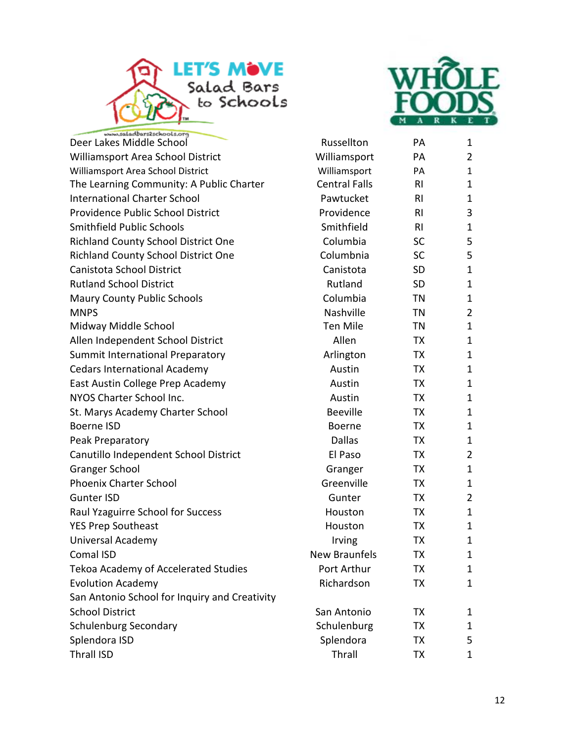



| Deer Lakes Middle School                      | Russellton           | PA             | 1              |
|-----------------------------------------------|----------------------|----------------|----------------|
| Williamsport Area School District             | Williamsport         | PA             | 2              |
| Williamsport Area School District             | Williamsport         | PA             | 1              |
| The Learning Community: A Public Charter      | <b>Central Falls</b> | RI.            | 1              |
| <b>International Charter School</b>           | Pawtucket            | RI.            | 1              |
| Providence Public School District             | Providence           | RI             | 3              |
| Smithfield Public Schools                     | Smithfield           | R <sub>l</sub> | 1              |
| <b>Richland County School District One</b>    | Columbia             | <b>SC</b>      | 5              |
| <b>Richland County School District One</b>    | Columbnia            | SC             | 5              |
| Canistota School District                     | Canistota            | <b>SD</b>      | 1              |
| <b>Rutland School District</b>                | Rutland              | <b>SD</b>      | 1              |
| <b>Maury County Public Schools</b>            | Columbia             | TN             | 1              |
| <b>MNPS</b>                                   | Nashville            | TN             | $\overline{2}$ |
| Midway Middle School                          | <b>Ten Mile</b>      | TN             | 1              |
| Allen Independent School District             | Allen                | ТX             | $\mathbf{1}$   |
| Summit International Preparatory              | Arlington            | ТX             | 1              |
| <b>Cedars International Academy</b>           | Austin               | TX             | $\mathbf{1}$   |
| East Austin College Prep Academy              | Austin               | ТX             | 1              |
| NYOS Charter School Inc.                      | Austin               | TX             | 1              |
| St. Marys Academy Charter School              | <b>Beeville</b>      | <b>TX</b>      | 1              |
| <b>Boerne ISD</b>                             | Boerne               | TX             | 1              |
| Peak Preparatory                              | <b>Dallas</b>        | ТX             | 1              |
| Canutillo Independent School District         | El Paso              | ТX             | 2              |
| <b>Granger School</b>                         | Granger              | TX             | 1              |
| <b>Phoenix Charter School</b>                 | Greenville           | TX             | 1              |
| <b>Gunter ISD</b>                             | Gunter               | TX             | 2              |
| Raul Yzaguirre School for Success             | Houston              | ТX             | 1              |
| <b>YES Prep Southeast</b>                     | Houston              | TX             | 1              |
| Universal Academy                             | Irving               | TX             | 1              |
| Comal ISD                                     | New Braunfels        | TX             | 1              |
| Tekoa Academy of Accelerated Studies          | Port Arthur          | TХ             | 1              |
| <b>Evolution Academy</b>                      | Richardson           | ТX             | 1              |
| San Antonio School for Inquiry and Creativity |                      |                |                |
| <b>School District</b>                        | San Antonio          | ТX             | 1              |
| <b>Schulenburg Secondary</b>                  | Schulenburg          | ТX             | 1              |
| Splendora ISD                                 | Splendora            | ТX             | 5              |
| <b>Thrall ISD</b>                             | Thrall               | TХ             | 1              |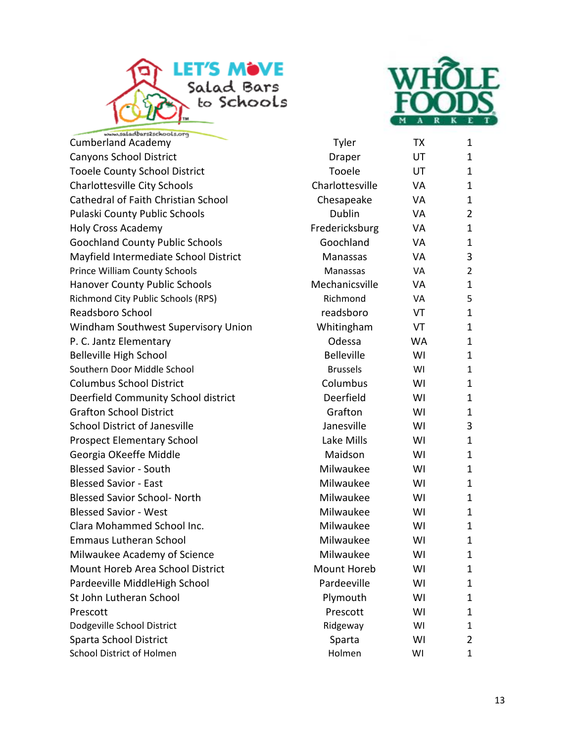



bars2schools.org Cumberland Academy Tyler [TX](www.wholefoodsmarket.com) 1 Canyons School District **Canyons** Draper UT 1 Tooele County School District Tooele UT 1 Charlottesville City Schools Charlottesville VA 1 Cathedral of Faith Christian School Chesapeake VA 1 Pulaski County Public Schools **County Automobility County Public Schools** Dublin VA 2 Holy Cross Academy **Fredericksburg** VA 1 Goochland County Public Schools Goochland VA 1 Mayfield Intermediate School District Manassas VA 3 Prince William County Schools **Manassas** VA 2 Hanover County Public Schools **Mechanicsville** VA 1 Richmond City Public Schools (RPS) **Richmond** VA 5 Readsboro School and The Readsboro VT and 1 Windham Southwest Supervisory Union Minimal Whitingham VT 1 P. C. Jantz Elementary Channel Communication Communication Communication Communication Communication Communication Communication Communication Communication Communication Communication Communication Communication Communica Belleville High School and Belleville WI 1 Southern Door Middle School **Brussels** Brussels WI 1 Columbus School District Columbus WI 1 Deerfield Community School district **Deerfield** WI 1 Grafton School District **Grafton** Grafton WI 1 School District of Janesville **School District of Janesville** Janesville WI 3 Prospect Elementary School and Lake Mills WI 1 Georgia OKeeffe Middle National Maidson Nullet 1 and Maidson Nullet 1 Blessed Savior - South **Milwaukee** Milwaukee MI 1 Blessed Savior - East Nille and American Milwaukee Nille and Milwaukee Nille and Milwaukee Nille and Milwaukee Blessed Savior School- North Milwaukee WI 1 Blessed Savior - West 1 1 and 1 and 1 and 1 and 1 and 1 and 1 and 1 and 1 and 1 and 1 and 1 and 1 and 1 and 1 and 1 and 1 and 1 and 1 and 1 and 1 and 1 and 1 and 1 and 1 and 1 and 1 and 1 and 1 and 1 and 1 and 1 and 1 and Clara Mohammed School Inc. 
(a) The Milwaukee Milwaukee MI 1 Emmaus Lutheran School **Milwaukee** Milwaukee MI 1 Milwaukee Academy of Science The Milwaukee Milwaukee MI 1 Mount Horeb Area School District Mount Horeb MI 1 Pardeeville MiddleHigh School **Pardeeville** WI 1 St John Lutheran School **Example 20** Plymouth WI 1 Prescott and the Prescott of the Prescott of the UVI is a set of the Prescott of the MI is a set of the MI is  $1$ Dodgeville School District **No. 2018** Control 2018 Ridgeway MI 1 Sparta School District Sparta Sparta WI 2 School District of Holmen Nulley and Nulley Holmen WI 1